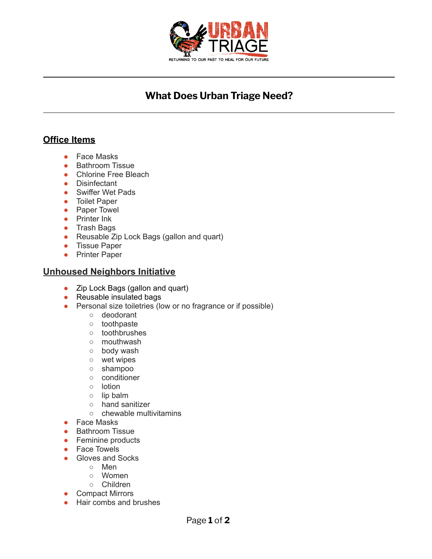

# **What Does Urban Triage Need?**

# **Office Items**

- Face Masks
- Bathroom Tissue
- Chlorine Free Bleach
- Disinfectant
- Swiffer Wet Pads
- Toilet Paper
- Paper Towel
- Printer Ink
- Trash Bags
- Reusable Zip Lock Bags (gallon and quart)
- Tissue Paper
- Printer Paper

#### **Unhoused Neighbors Initiative**

- Zip Lock Bags (gallon and quart)
- Reusable insulated bags
- Personal size toiletries (low or no fragrance or if possible)
	- deodorant
	- toothpaste
	- toothbrushes
	- mouthwash
	- body wash
	- wet wipes
	- shampoo
	- conditioner
	- lotion
	- lip balm
	- hand sanitizer
	- chewable multivitamins
- Face Masks
- Bathroom Tissue
- Feminine products
- Face Towels
- Gloves and Socks
	- Men
	- Women
	- Children
- Compact Mirrors
- Hair combs and brushes